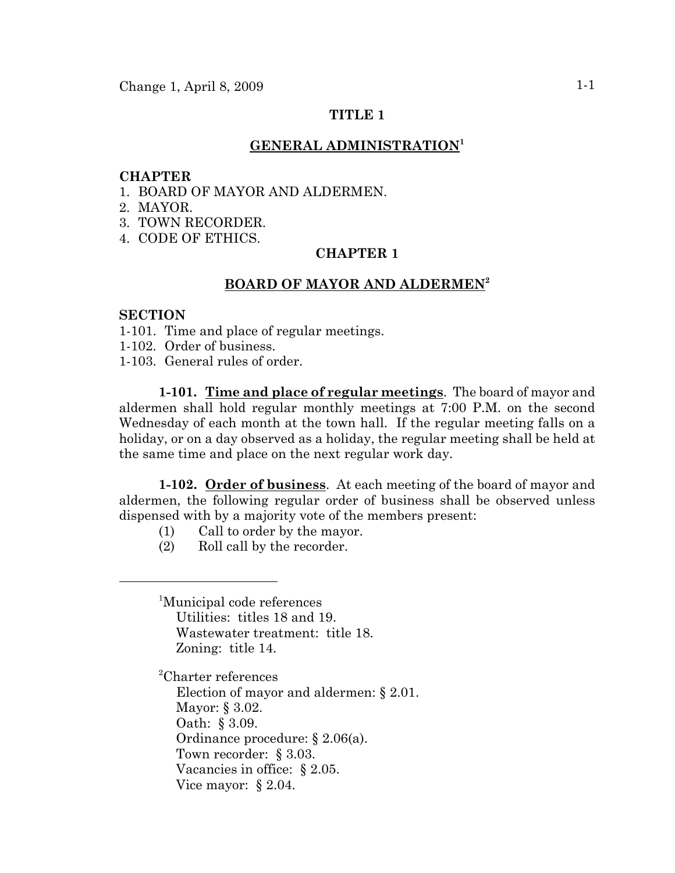## **TITLE 1**

### **GENERAL ADMINISTRATION<sup>1</sup>**

#### **CHAPTER**

- 1. BOARD OF MAYOR AND ALDERMEN.
- 2. MAYOR.
- 3. TOWN RECORDER.
- 4. CODE OF ETHICS.

# **CHAPTER 1**

### **BOARD OF MAYOR AND ALDERMEN<sup>2</sup>**

#### **SECTION**

- 1-101. Time and place of regular meetings.
- 1-102. Order of business.
- 1-103. General rules of order.

**1-101. Time and place of regular meetings**. The board of mayor and aldermen shall hold regular monthly meetings at 7:00 P.M. on the second Wednesday of each month at the town hall. If the regular meeting falls on a holiday, or on a day observed as a holiday, the regular meeting shall be held at the same time and place on the next regular work day.

**1-102. Order of business**. At each meeting of the board of mayor and aldermen, the following regular order of business shall be observed unless dispensed with by a majority vote of the members present:

- (1) Call to order by the mayor.
- (2) Roll call by the recorder.

<sup>1</sup>Municipal code references Utilities: titles 18 and 19. Wastewater treatment: title 18. Zoning: title 14.

2 Charter references

Election of mayor and aldermen: § 2.01. Mayor: § 3.02. Oath: § 3.09. Ordinance procedure: § 2.06(a). Town recorder: § 3.03. Vacancies in office: § 2.05. Vice mayor: § 2.04.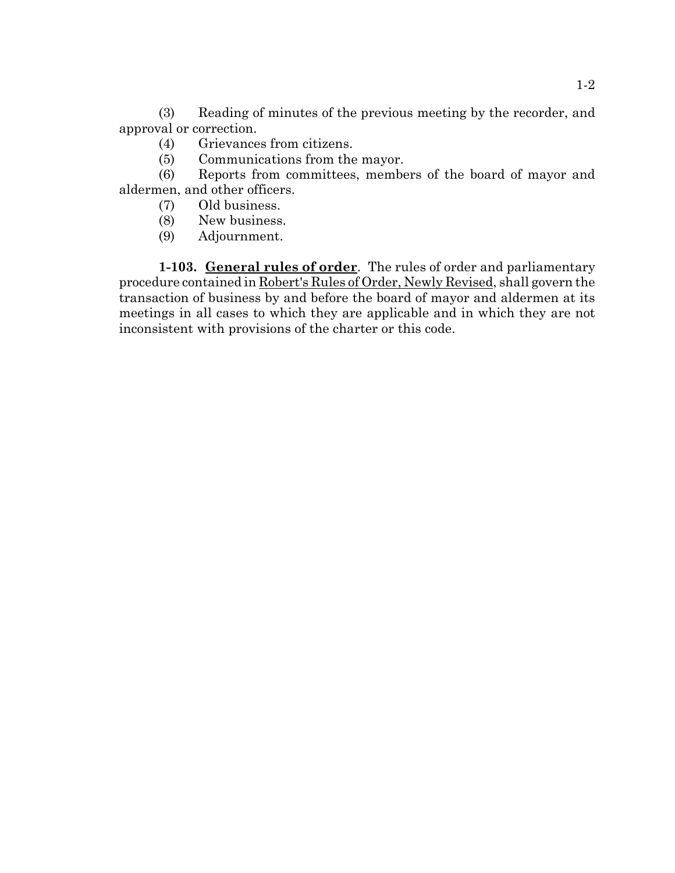(3) Reading of minutes of the previous meeting by the recorder, and approval or correction.

- (4) Grievances from citizens.
- (5) Communications from the mayor.

(6) Reports from committees, members of the board of mayor and aldermen, and other officers.

- (7) Old business.
- (8) New business.
- (9) Adjournment.

**1-103. General rules of order**. The rules of order and parliamentary procedure contained in Robert's Rules of Order, Newly Revised, shall govern the transaction of business by and before the board of mayor and aldermen at its meetings in all cases to which they are applicable and in which they are not inconsistent with provisions of the charter or this code.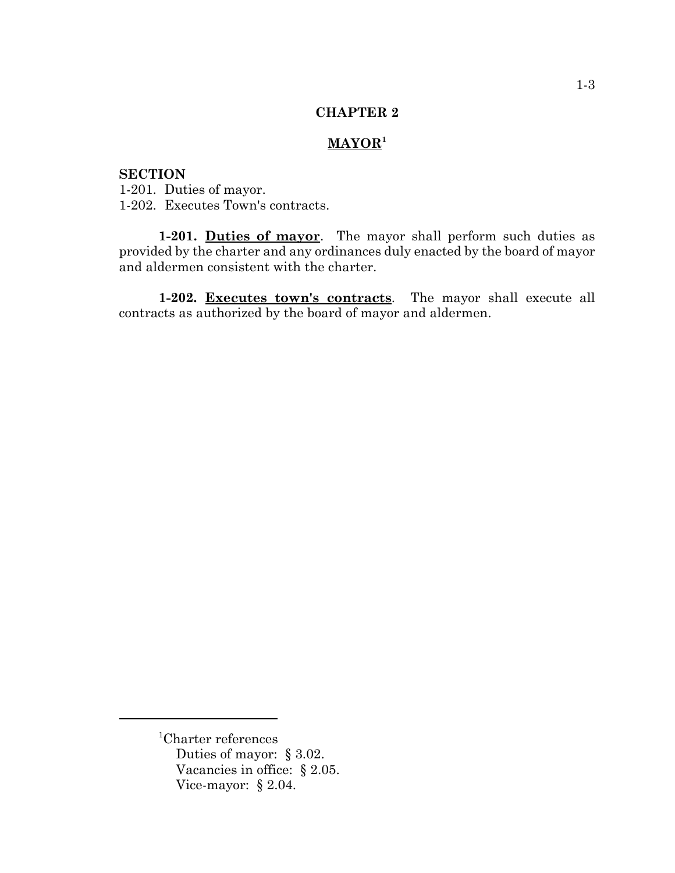## **CHAPTER 2**

# **MAYOR1**

# **SECTION**

1-201. Duties of mayor. 1-202. Executes Town's contracts.

**1-201. Duties of mayor**. The mayor shall perform such duties as provided by the charter and any ordinances duly enacted by the board of mayor and aldermen consistent with the charter.

**1-202. Executes town's contracts**. The mayor shall execute all contracts as authorized by the board of mayor and aldermen.

<sup>1</sup> Charter references Duties of mayor: § 3.02. Vacancies in office: § 2.05. Vice-mayor: § 2.04.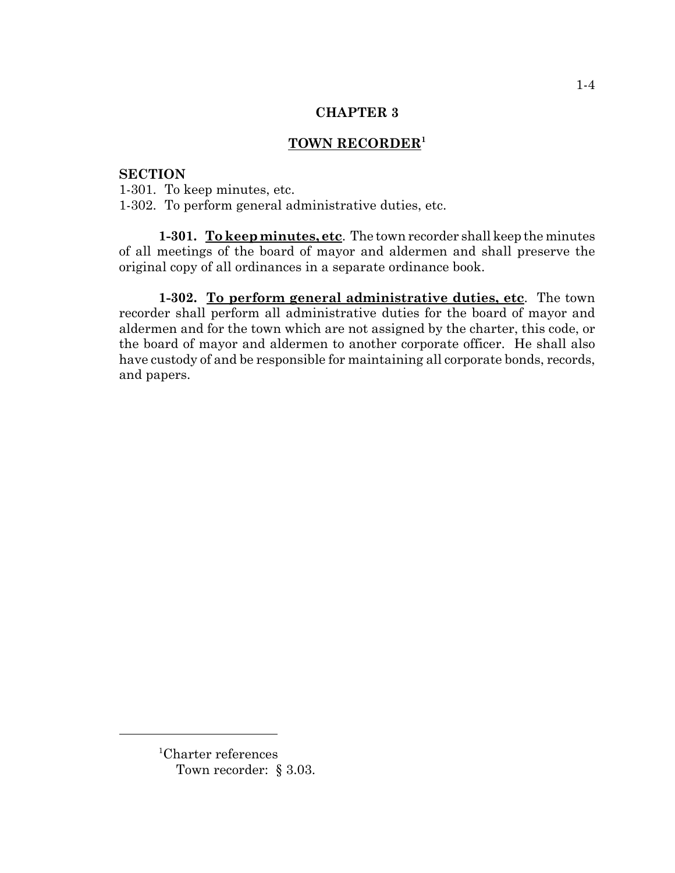### **CHAPTER 3**

# **TOWN RECORDER<sup>1</sup>**

#### **SECTION**

1-301. To keep minutes, etc. 1-302. To perform general administrative duties, etc.

**1-301. To keep minutes, etc**. The town recorder shall keep the minutes of all meetings of the board of mayor and aldermen and shall preserve the original copy of all ordinances in a separate ordinance book.

**1-302. To perform general administrative duties, etc**. The town recorder shall perform all administrative duties for the board of mayor and aldermen and for the town which are not assigned by the charter, this code, or the board of mayor and aldermen to another corporate officer. He shall also have custody of and be responsible for maintaining all corporate bonds, records, and papers.

<sup>1</sup> Charter references Town recorder: § 3.03.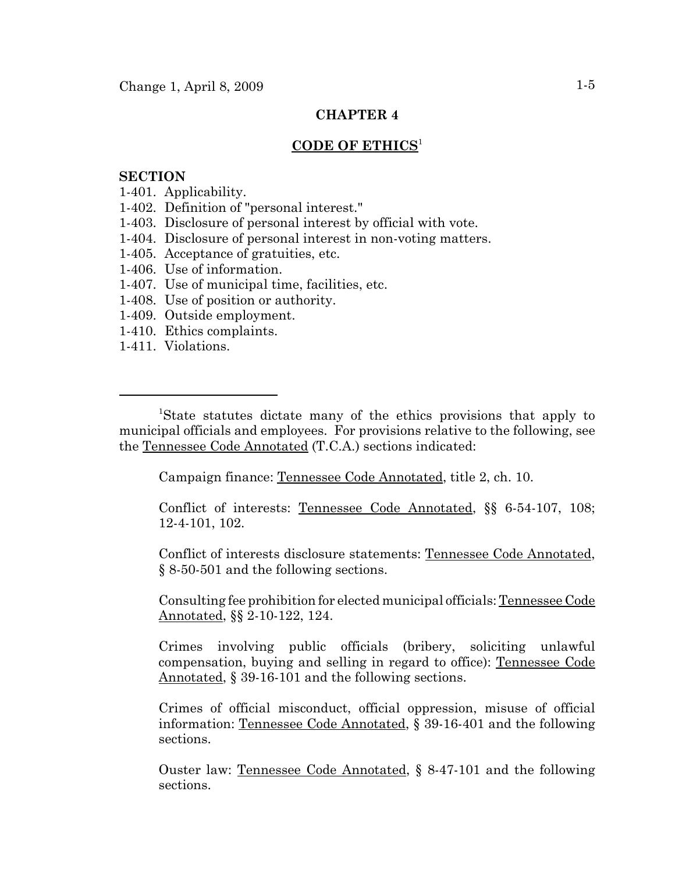# **CHAPTER 4**

### **CODE OF ETHICS**<sup>1</sup>

#### **SECTION**

- 1-401. Applicability.
- 1-402. Definition of "personal interest."
- 1-403. Disclosure of personal interest by official with vote.
- 1-404. Disclosure of personal interest in non-voting matters.
- 1-405. Acceptance of gratuities, etc.
- 1-406. Use of information.
- 1-407. Use of municipal time, facilities, etc.
- 1-408. Use of position or authority.
- 1-409. Outside employment.
- 1-410. Ethics complaints.
- 1-411. Violations.

Campaign finance: Tennessee Code Annotated, title 2, ch. 10.

Conflict of interests: Tennessee Code Annotated, §§ 6-54-107, 108; 12-4-101, 102.

Conflict of interests disclosure statements: Tennessee Code Annotated, § 8-50-501 and the following sections.

Consulting fee prohibition for elected municipal officials: Tennessee Code Annotated, §§ 2-10-122, 124.

Crimes involving public officials (bribery, soliciting unlawful compensation, buying and selling in regard to office): Tennessee Code Annotated, § 39-16-101 and the following sections.

Crimes of official misconduct, official oppression, misuse of official information: Tennessee Code Annotated, § 39-16-401 and the following sections.

Ouster law: Tennessee Code Annotated, § 8-47-101 and the following sections.

<sup>&</sup>lt;sup>1</sup>State statutes dictate many of the ethics provisions that apply to municipal officials and employees. For provisions relative to the following, see the Tennessee Code Annotated (T.C.A.) sections indicated: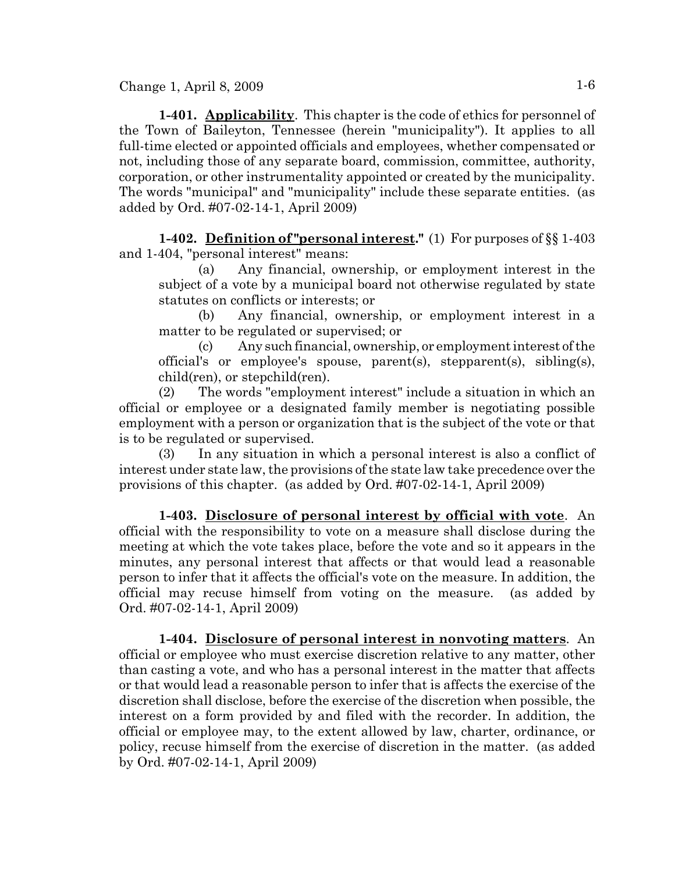Change 1, April 8, 2009  $1-6$ 

**1-401. Applicability**. This chapter is the code of ethics for personnel of the Town of Baileyton, Tennessee (herein "municipality"). It applies to all full-time elected or appointed officials and employees, whether compensated or not, including those of any separate board, commission, committee, authority, corporation, or other instrumentality appointed or created by the municipality. The words "municipal" and "municipality" include these separate entities. (as added by Ord. #07-02-14-1, April 2009)

**1-402. Definition of "personal interest."** (1) For purposes of §§ 1-403 and 1-404, "personal interest" means:

(a) Any financial, ownership, or employment interest in the subject of a vote by a municipal board not otherwise regulated by state statutes on conflicts or interests; or

(b) Any financial, ownership, or employment interest in a matter to be regulated or supervised; or

(c) Any such financial, ownership, or employment interest of the official's or employee's spouse, parent(s), stepparent(s), sibling(s), child(ren), or stepchild(ren).

(2) The words "employment interest" include a situation in which an official or employee or a designated family member is negotiating possible employment with a person or organization that is the subject of the vote or that is to be regulated or supervised.

(3) In any situation in which a personal interest is also a conflict of interest under state law, the provisions of the state law take precedence over the provisions of this chapter. (as added by Ord. #07-02-14-1, April 2009)

**1-403. Disclosure of personal interest by official with vote**. An official with the responsibility to vote on a measure shall disclose during the meeting at which the vote takes place, before the vote and so it appears in the minutes, any personal interest that affects or that would lead a reasonable person to infer that it affects the official's vote on the measure. In addition, the official may recuse himself from voting on the measure. (as added by Ord. #07-02-14-1, April 2009)

**1-404. Disclosure of personal interest in nonvoting matters**. An official or employee who must exercise discretion relative to any matter, other than casting a vote, and who has a personal interest in the matter that affects or that would lead a reasonable person to infer that is affects the exercise of the discretion shall disclose, before the exercise of the discretion when possible, the interest on a form provided by and filed with the recorder. In addition, the official or employee may, to the extent allowed by law, charter, ordinance, or policy, recuse himself from the exercise of discretion in the matter. (as added by Ord. #07-02-14-1, April 2009)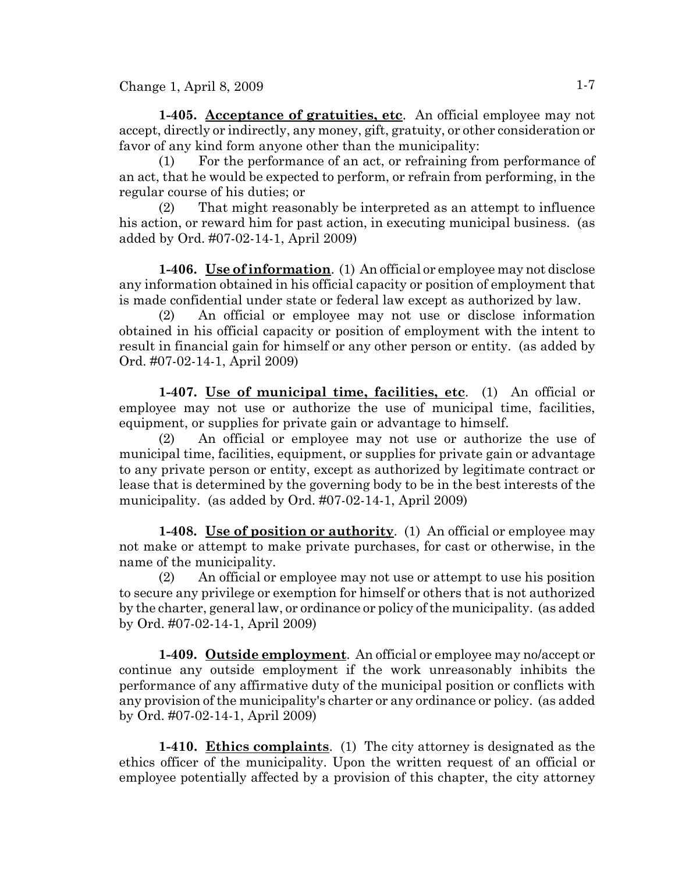$Change 1, April 8, 2009$   $1-7$ 

**1-405. Acceptance of gratuities, etc**. An official employee may not accept, directly or indirectly, any money, gift, gratuity, or other consideration or favor of any kind form anyone other than the municipality:

(1) For the performance of an act, or refraining from performance of an act, that he would be expected to perform, or refrain from performing, in the regular course of his duties; or

(2) That might reasonably be interpreted as an attempt to influence his action, or reward him for past action, in executing municipal business. (as added by Ord. #07-02-14-1, April 2009)

**1-406. Use of information**. (1) An official or employee may not disclose any information obtained in his official capacity or position of employment that is made confidential under state or federal law except as authorized by law.

(2) An official or employee may not use or disclose information obtained in his official capacity or position of employment with the intent to result in financial gain for himself or any other person or entity. (as added by Ord. #07-02-14-1, April 2009)

**1-407. Use of municipal time, facilities, etc**. (1) An official or employee may not use or authorize the use of municipal time, facilities, equipment, or supplies for private gain or advantage to himself.

(2) An official or employee may not use or authorize the use of municipal time, facilities, equipment, or supplies for private gain or advantage to any private person or entity, except as authorized by legitimate contract or lease that is determined by the governing body to be in the best interests of the municipality. (as added by Ord. #07-02-14-1, April 2009)

**1-408. Use of position or authority**. (1) An official or employee may not make or attempt to make private purchases, for cast or otherwise, in the name of the municipality.

(2) An official or employee may not use or attempt to use his position to secure any privilege or exemption for himself or others that is not authorized by the charter, general law, or ordinance or policy of the municipality. (as added by Ord. #07-02-14-1, April 2009)

**1-409. Outside employment**. An official or employee may no/accept or continue any outside employment if the work unreasonably inhibits the performance of any affirmative duty of the municipal position or conflicts with any provision of the municipality's charter or any ordinance or policy. (as added by Ord. #07-02-14-1, April 2009)

**1-410. Ethics complaints**. (1) The city attorney is designated as the ethics officer of the municipality. Upon the written request of an official or employee potentially affected by a provision of this chapter, the city attorney